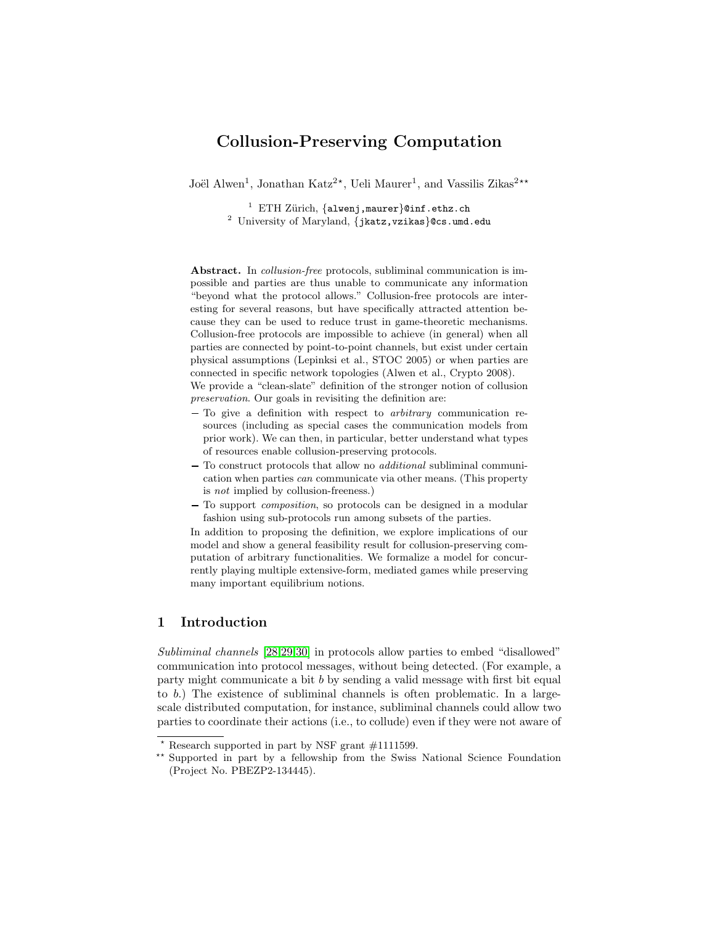# Collusion-Preserving Computation

Joël Alwen<sup>1</sup>, Jonathan Katz<sup>2\*</sup>, Ueli Maurer<sup>1</sup>, and Vassilis Zikas<sup>2\*\*</sup>

<sup>1</sup> ETH Zürich,  $\{$ alwenj, maurer $\}$ @inf.ethz.ch <sup>2</sup> University of Maryland, {jkatz,vzikas}@cs.umd.edu

Abstract. In collusion-free protocols, subliminal communication is impossible and parties are thus unable to communicate any information "beyond what the protocol allows." Collusion-free protocols are interesting for several reasons, but have specifically attracted attention because they can be used to reduce trust in game-theoretic mechanisms. Collusion-free protocols are impossible to achieve (in general) when all parties are connected by point-to-point channels, but exist under certain physical assumptions (Lepinksi et al., STOC 2005) or when parties are connected in specific network topologies (Alwen et al., Crypto 2008). We provide a "clean-slate" definition of the stronger notion of collusion preservation. Our goals in revisiting the definition are:

- $-$  To give a definition with respect to *arbitrary* communication resources (including as special cases the communication models from prior work). We can then, in particular, better understand what types of resources enable collusion-preserving protocols.
- To construct protocols that allow no additional subliminal communication when parties can communicate via other means. (This property is not implied by collusion-freeness.)
- To support composition, so protocols can be designed in a modular fashion using sub-protocols run among subsets of the parties.

In addition to proposing the definition, we explore implications of our model and show a general feasibility result for collusion-preserving computation of arbitrary functionalities. We formalize a model for concurrently playing multiple extensive-form, mediated games while preserving many important equilibrium notions.

## 1 Introduction

Subliminal channels [\[28,](#page-19-0)[29](#page-19-1)[,30\]](#page-19-2) in protocols allow parties to embed "disallowed" communication into protocol messages, without being detected. (For example, a party might communicate a bit b by sending a valid message with first bit equal to b.) The existence of subliminal channels is often problematic. In a largescale distributed computation, for instance, subliminal channels could allow two parties to coordinate their actions (i.e., to collude) even if they were not aware of

Research supported in part by NSF grant  $\#1111599$ .

<sup>\*\*</sup> Supported in part by a fellowship from the Swiss National Science Foundation (Project No. PBEZP2-134445).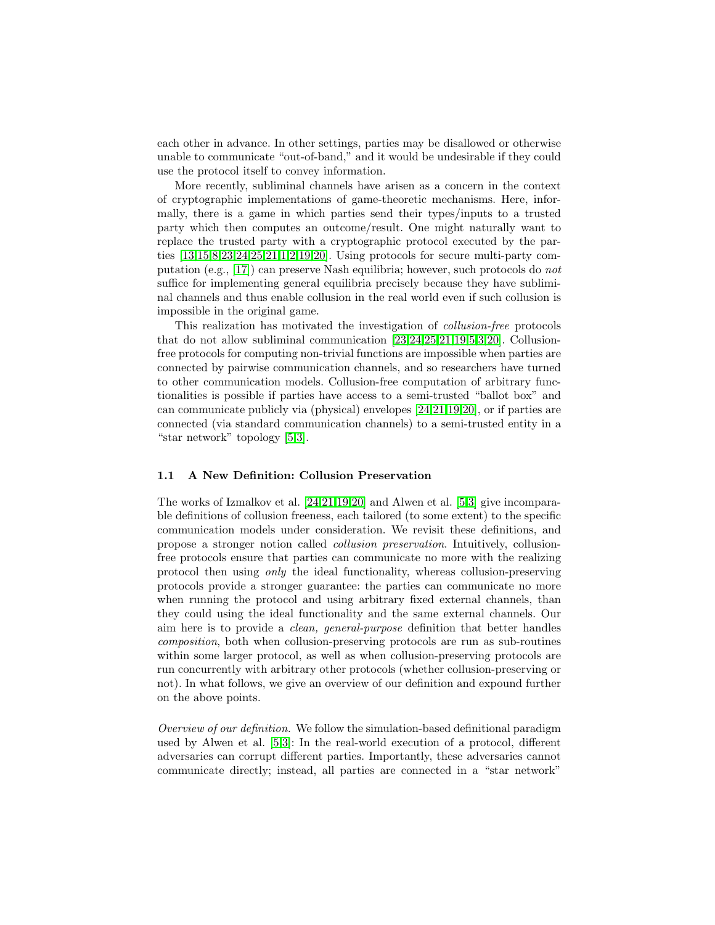each other in advance. In other settings, parties may be disallowed or otherwise unable to communicate "out-of-band," and it would be undesirable if they could use the protocol itself to convey information.

More recently, subliminal channels have arisen as a concern in the context of cryptographic implementations of game-theoretic mechanisms. Here, informally, there is a game in which parties send their types/inputs to a trusted party which then computes an outcome/result. One might naturally want to replace the trusted party with a cryptographic protocol executed by the parties [\[13](#page-19-3)[,15,](#page-19-4)[8,](#page-18-0)[23,](#page-19-5)[24](#page-19-6)[,25,](#page-19-7)[21](#page-19-8)[,1](#page-18-1)[,2,](#page-18-2)[19,](#page-19-9)[20\]](#page-19-10). Using protocols for secure multi-party computation (e.g., [\[17\]](#page-19-11)) can preserve Nash equilibria; however, such protocols do not suffice for implementing general equilibria precisely because they have subliminal channels and thus enable collusion in the real world even if such collusion is impossible in the original game.

This realization has motivated the investigation of collusion-free protocols that do not allow subliminal communication [\[23,](#page-19-5)[24,](#page-19-6)[25,](#page-19-7)[21,](#page-19-8)[19,](#page-19-9)[5,](#page-18-3)[3,](#page-18-4)[20\]](#page-19-10). Collusionfree protocols for computing non-trivial functions are impossible when parties are connected by pairwise communication channels, and so researchers have turned to other communication models. Collusion-free computation of arbitrary functionalities is possible if parties have access to a semi-trusted "ballot box" and can communicate publicly via (physical) envelopes [\[24,](#page-19-6)[21,](#page-19-8)[19,](#page-19-9)[20\]](#page-19-10), or if parties are connected (via standard communication channels) to a semi-trusted entity in a "star network" topology [\[5](#page-18-3)[,3\]](#page-18-4).

#### 1.1 A New Definition: Collusion Preservation

The works of Izmalkov et al. [\[24,](#page-19-6)[21,](#page-19-8)[19](#page-19-9)[,20\]](#page-19-10) and Alwen et al. [\[5](#page-18-3)[,3\]](#page-18-4) give incomparable definitions of collusion freeness, each tailored (to some extent) to the specific communication models under consideration. We revisit these definitions, and propose a stronger notion called collusion preservation. Intuitively, collusionfree protocols ensure that parties can communicate no more with the realizing protocol then using only the ideal functionality, whereas collusion-preserving protocols provide a stronger guarantee: the parties can communicate no more when running the protocol and using arbitrary fixed external channels, than they could using the ideal functionality and the same external channels. Our aim here is to provide a clean, general-purpose definition that better handles composition, both when collusion-preserving protocols are run as sub-routines within some larger protocol, as well as when collusion-preserving protocols are run concurrently with arbitrary other protocols (whether collusion-preserving or not). In what follows, we give an overview of our definition and expound further on the above points.

Overview of our definition. We follow the simulation-based definitional paradigm used by Alwen et al. [\[5,](#page-18-3)[3\]](#page-18-4): In the real-world execution of a protocol, different adversaries can corrupt different parties. Importantly, these adversaries cannot communicate directly; instead, all parties are connected in a "star network"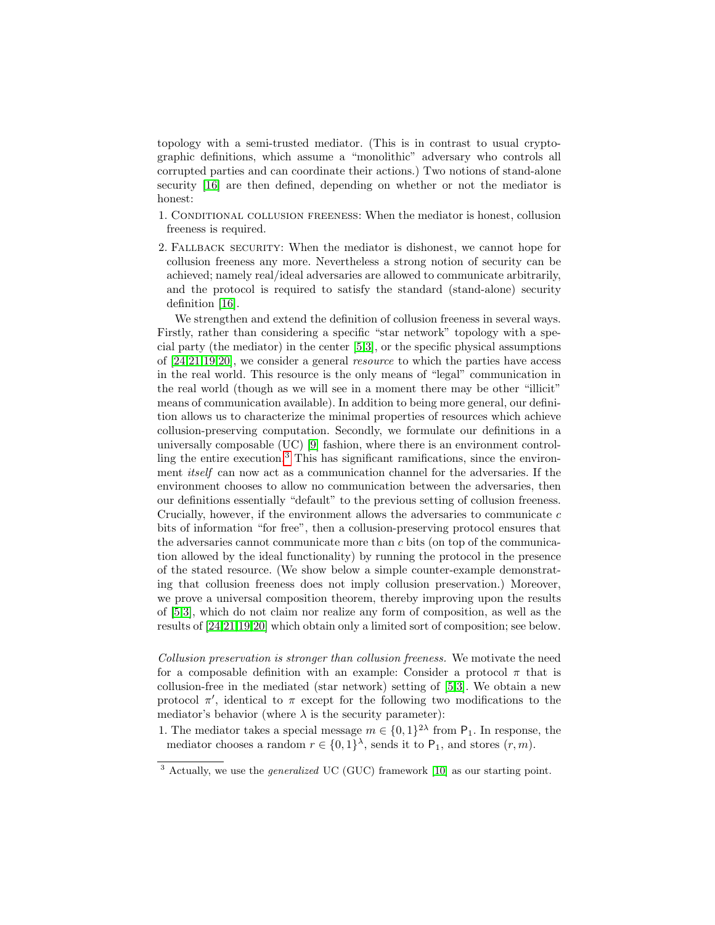topology with a semi-trusted mediator. (This is in contrast to usual cryptographic definitions, which assume a "monolithic" adversary who controls all corrupted parties and can coordinate their actions.) Two notions of stand-alone security [\[16\]](#page-19-12) are then defined, depending on whether or not the mediator is honest:

- 1. Conditional collusion freeness: When the mediator is honest, collusion freeness is required.
- 2. Fallback security: When the mediator is dishonest, we cannot hope for collusion freeness any more. Nevertheless a strong notion of security can be achieved; namely real/ideal adversaries are allowed to communicate arbitrarily, and the protocol is required to satisfy the standard (stand-alone) security definition [\[16\]](#page-19-12).

We strengthen and extend the definition of collusion freeness in several ways. Firstly, rather than considering a specific "star network" topology with a special party (the mediator) in the center [\[5,](#page-18-3)[3\]](#page-18-4), or the specific physical assumptions of [\[24,](#page-19-6)[21,](#page-19-8)[19](#page-19-9)[,20\]](#page-19-10), we consider a general resource to which the parties have access in the real world. This resource is the only means of "legal" communication in the real world (though as we will see in a moment there may be other "illicit" means of communication available). In addition to being more general, our definition allows us to characterize the minimal properties of resources which achieve collusion-preserving computation. Secondly, we formulate our definitions in a universally composable (UC) [\[9\]](#page-18-5) fashion, where there is an environment control-ling the entire execution.<sup>[3](#page-2-0)</sup> This has significant ramifications, since the environment itself can now act as a communication channel for the adversaries. If the environment chooses to allow no communication between the adversaries, then our definitions essentially "default" to the previous setting of collusion freeness. Crucially, however, if the environment allows the adversaries to communicate c bits of information "for free", then a collusion-preserving protocol ensures that the adversaries cannot communicate more than  $c$  bits (on top of the communication allowed by the ideal functionality) by running the protocol in the presence of the stated resource. (We show below a simple counter-example demonstrating that collusion freeness does not imply collusion preservation.) Moreover, we prove a universal composition theorem, thereby improving upon the results of [\[5](#page-18-3)[,3\]](#page-18-4), which do not claim nor realize any form of composition, as well as the results of [\[24,](#page-19-6)[21](#page-19-8)[,19,](#page-19-9)[20\]](#page-19-10) which obtain only a limited sort of composition; see below.

Collusion preservation is stronger than collusion freeness. We motivate the need for a composable definition with an example: Consider a protocol  $\pi$  that is collusion-free in the mediated (star network) setting of [\[5,](#page-18-3)[3\]](#page-18-4). We obtain a new protocol  $\pi'$ , identical to  $\pi$  except for the following two modifications to the mediator's behavior (where  $\lambda$  is the security parameter):

1. The mediator takes a special message  $m \in \{0,1\}^{2\lambda}$  from  $P_1$ . In response, the mediator chooses a random  $r \in \{0,1\}^{\lambda}$ , sends it to  $P_1$ , and stores  $(r, m)$ .

<span id="page-2-0"></span> $3$  Actually, we use the *generalized* UC (GUC) framework [\[10\]](#page-18-6) as our starting point.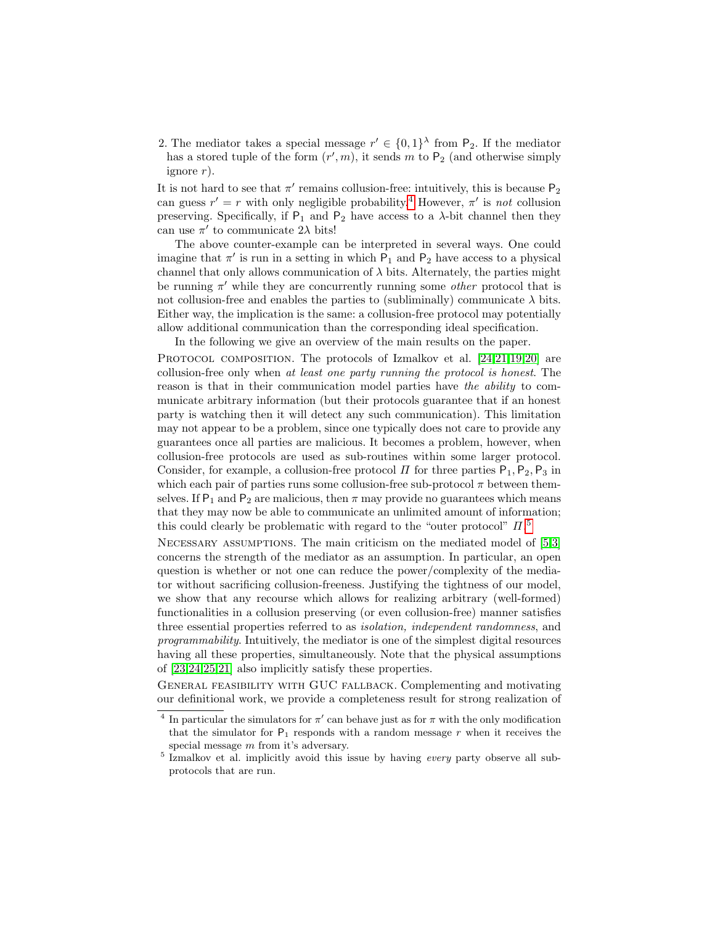2. The mediator takes a special message  $r' \in \{0,1\}^{\lambda}$  from  $P_2$ . If the mediator has a stored tuple of the form  $(r', m)$ , it sends m to  $P_2$  (and otherwise simply ignore r).

It is not hard to see that  $\pi'$  remains collusion-free: intuitively, this is because  $P_2$ can guess  $r' = r$  with only negligible probability.<sup>[4](#page-3-0)</sup> However,  $\pi'$  is not collusion preserving. Specifically, if  $P_1$  and  $P_2$  have access to a  $\lambda$ -bit channel then they can use  $\pi'$  to communicate  $2\lambda$  bits!

The above counter-example can be interpreted in several ways. One could imagine that  $\pi'$  is run in a setting in which  $P_1$  and  $P_2$  have access to a physical channel that only allows communication of  $\lambda$  bits. Alternately, the parties might be running  $\pi'$  while they are concurrently running some *other* protocol that is not collusion-free and enables the parties to (subliminally) communicate  $\lambda$  bits. Either way, the implication is the same: a collusion-free protocol may potentially allow additional communication than the corresponding ideal specification.

In the following we give an overview of the main results on the paper.

PROTOCOL COMPOSITION. The protocols of Izmalkov et al. [\[24,](#page-19-6)[21](#page-19-8)[,19,](#page-19-9)[20\]](#page-19-10) are collusion-free only when at least one party running the protocol is honest. The reason is that in their communication model parties have the ability to communicate arbitrary information (but their protocols guarantee that if an honest party is watching then it will detect any such communication). This limitation may not appear to be a problem, since one typically does not care to provide any guarantees once all parties are malicious. It becomes a problem, however, when collusion-free protocols are used as sub-routines within some larger protocol. Consider, for example, a collusion-free protocol  $\Pi$  for three parties  $P_1, P_2, P_3$  in which each pair of parties runs some collusion-free sub-protocol  $\pi$  between themselves. If  $P_1$  and  $P_2$  are malicious, then  $\pi$  may provide no guarantees which means that they may now be able to communicate an unlimited amount of information; this could clearly be problematic with regard to the "outer protocol"  $\pi$ .<sup>[5](#page-3-1)</sup>

Necessary assumptions. The main criticism on the mediated model of [\[5,](#page-18-3)[3\]](#page-18-4) concerns the strength of the mediator as an assumption. In particular, an open question is whether or not one can reduce the power/complexity of the mediator without sacrificing collusion-freeness. Justifying the tightness of our model, we show that any recourse which allows for realizing arbitrary (well-formed) functionalities in a collusion preserving (or even collusion-free) manner satisfies three essential properties referred to as isolation, independent randomness, and programmability. Intuitively, the mediator is one of the simplest digital resources having all these properties, simultaneously. Note that the physical assumptions of [\[23,](#page-19-5)[24,](#page-19-6)[25](#page-19-7)[,21\]](#page-19-8) also implicitly satisfy these properties.

General feasibility with GUC fallback. Complementing and motivating our definitional work, we provide a completeness result for strong realization of

<span id="page-3-0"></span><sup>&</sup>lt;sup>4</sup> In particular the simulators for  $\pi'$  can behave just as for  $\pi$  with the only modification that the simulator for  $P_1$  responds with a random message r when it receives the special message  $m$  from it's adversary.

<span id="page-3-1"></span><sup>&</sup>lt;sup>5</sup> Izmalkov et al. implicitly avoid this issue by having *every* party observe all subprotocols that are run.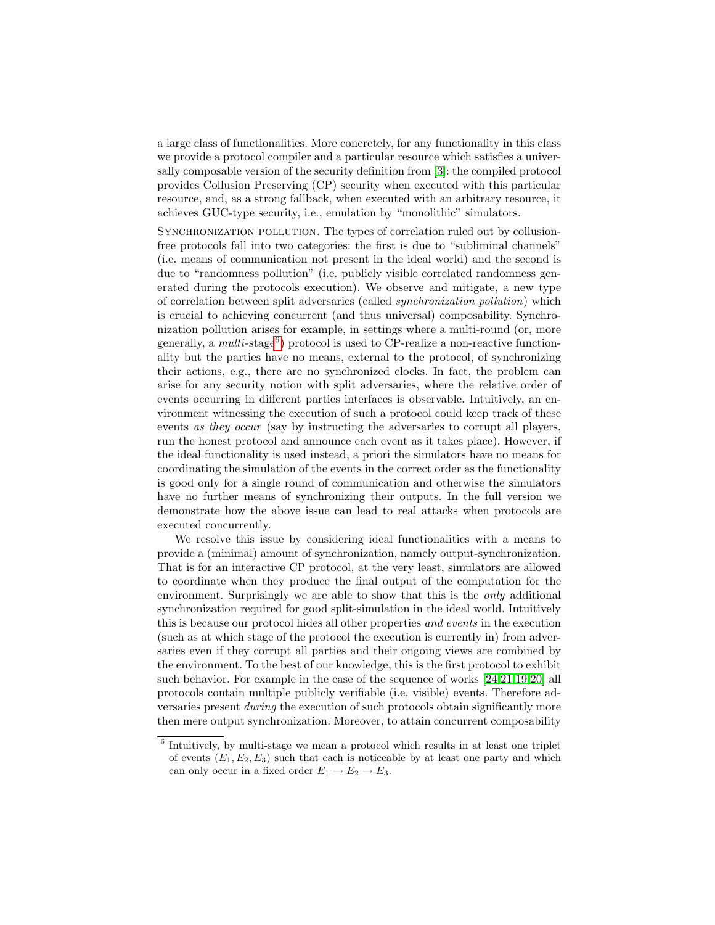a large class of functionalities. More concretely, for any functionality in this class we provide a protocol compiler and a particular resource which satisfies a universally composable version of the security definition from [\[3\]](#page-18-4): the compiled protocol provides Collusion Preserving (CP) security when executed with this particular resource, and, as a strong fallback, when executed with an arbitrary resource, it achieves GUC-type security, i.e., emulation by "monolithic" simulators.

SYNCHRONIZATION POLLUTION. The types of correlation ruled out by collusionfree protocols fall into two categories: the first is due to "subliminal channels" (i.e. means of communication not present in the ideal world) and the second is due to "randomness pollution" (i.e. publicly visible correlated randomness generated during the protocols execution). We observe and mitigate, a new type of correlation between split adversaries (called synchronization pollution) which is crucial to achieving concurrent (and thus universal) composability. Synchronization pollution arises for example, in settings where a multi-round (or, more generally, a  $multi$ -stage<sup>[6](#page-4-0)</sup>) protocol is used to CP-realize a non-reactive functionality but the parties have no means, external to the protocol, of synchronizing their actions, e.g., there are no synchronized clocks. In fact, the problem can arise for any security notion with split adversaries, where the relative order of events occurring in different parties interfaces is observable. Intuitively, an environment witnessing the execution of such a protocol could keep track of these events as they occur (say by instructing the adversaries to corrupt all players, run the honest protocol and announce each event as it takes place). However, if the ideal functionality is used instead, a priori the simulators have no means for coordinating the simulation of the events in the correct order as the functionality is good only for a single round of communication and otherwise the simulators have no further means of synchronizing their outputs. In the full version we demonstrate how the above issue can lead to real attacks when protocols are executed concurrently.

We resolve this issue by considering ideal functionalities with a means to provide a (minimal) amount of synchronization, namely output-synchronization. That is for an interactive CP protocol, at the very least, simulators are allowed to coordinate when they produce the final output of the computation for the environment. Surprisingly we are able to show that this is the only additional synchronization required for good split-simulation in the ideal world. Intuitively this is because our protocol hides all other properties and events in the execution (such as at which stage of the protocol the execution is currently in) from adversaries even if they corrupt all parties and their ongoing views are combined by the environment. To the best of our knowledge, this is the first protocol to exhibit such behavior. For example in the case of the sequence of works [\[24,](#page-19-6)[21,](#page-19-8)[19,](#page-19-9)[20\]](#page-19-10) all protocols contain multiple publicly verifiable (i.e. visible) events. Therefore adversaries present during the execution of such protocols obtain significantly more then mere output synchronization. Moreover, to attain concurrent composability

<span id="page-4-0"></span><sup>&</sup>lt;sup>6</sup> Intuitively, by multi-stage we mean a protocol which results in at least one triplet of events  $(E_1, E_2, E_3)$  such that each is noticeable by at least one party and which can only occur in a fixed order  $E_1 \rightarrow E_2 \rightarrow E_3$ .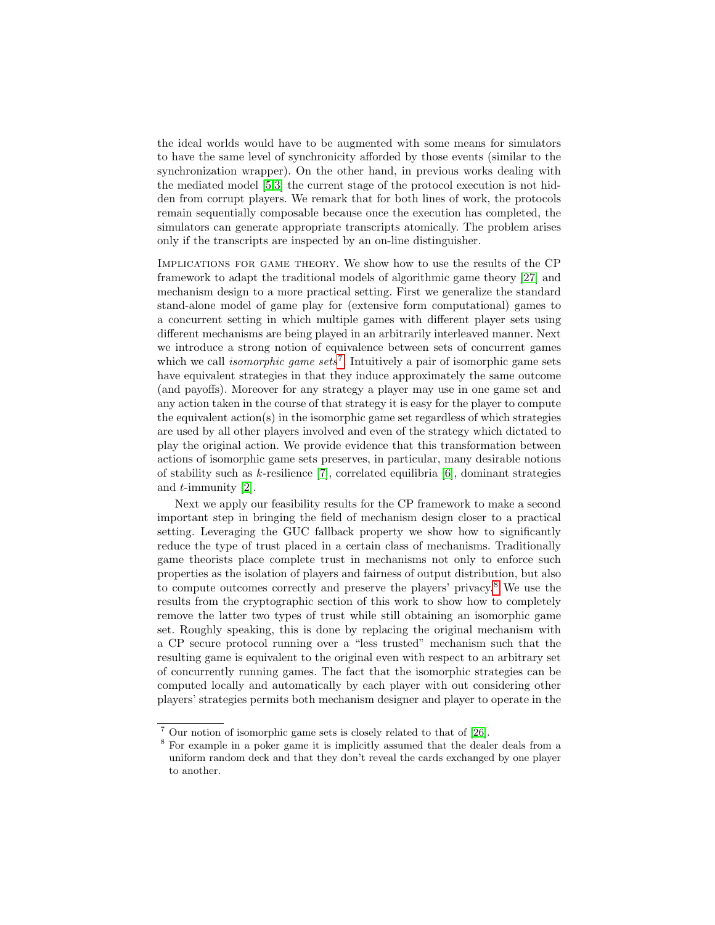the ideal worlds would have to be augmented with some means for simulators to have the same level of synchronicity afforded by those events (similar to the synchronization wrapper). On the other hand, in previous works dealing with the mediated model [\[5](#page-18-3)[,3\]](#page-18-4) the current stage of the protocol execution is not hidden from corrupt players. We remark that for both lines of work, the protocols remain sequentially composable because once the execution has completed, the simulators can generate appropriate transcripts atomically. The problem arises only if the transcripts are inspected by an on-line distinguisher.

Implications for game theory. We show how to use the results of the CP framework to adapt the traditional models of algorithmic game theory [\[27\]](#page-19-13) and mechanism design to a more practical setting. First we generalize the standard stand-alone model of game play for (extensive form computational) games to a concurrent setting in which multiple games with different player sets using different mechanisms are being played in an arbitrarily interleaved manner. Next we introduce a strong notion of equivalence between sets of concurrent games which we call *isomorphic game sets*<sup>[7](#page-5-0)</sup>. Intuitively a pair of isomorphic game sets have equivalent strategies in that they induce approximately the same outcome (and payoffs). Moreover for any strategy a player may use in one game set and any action taken in the course of that strategy it is easy for the player to compute the equivalent action(s) in the isomorphic game set regardless of which strategies are used by all other players involved and even of the strategy which dictated to play the original action. We provide evidence that this transformation between actions of isomorphic game sets preserves, in particular, many desirable notions of stability such as  $k$ -resilience [\[7\]](#page-18-7), correlated equilibria [\[6\]](#page-18-8), dominant strategies and t-immunity [\[2\]](#page-18-2).

Next we apply our feasibility results for the CP framework to make a second important step in bringing the field of mechanism design closer to a practical setting. Leveraging the GUC fallback property we show how to significantly reduce the type of trust placed in a certain class of mechanisms. Traditionally game theorists place complete trust in mechanisms not only to enforce such properties as the isolation of players and fairness of output distribution, but also to compute outcomes correctly and preserve the players' privacy.[8](#page-5-1) We use the results from the cryptographic section of this work to show how to completely remove the latter two types of trust while still obtaining an isomorphic game set. Roughly speaking, this is done by replacing the original mechanism with a CP secure protocol running over a "less trusted" mechanism such that the resulting game is equivalent to the original even with respect to an arbitrary set of concurrently running games. The fact that the isomorphic strategies can be computed locally and automatically by each player with out considering other players' strategies permits both mechanism designer and player to operate in the

<span id="page-5-0"></span><sup>7</sup> Our notion of isomorphic game sets is closely related to that of [\[26\]](#page-19-14).

<span id="page-5-1"></span><sup>8</sup> For example in a poker game it is implicitly assumed that the dealer deals from a uniform random deck and that they don't reveal the cards exchanged by one player to another.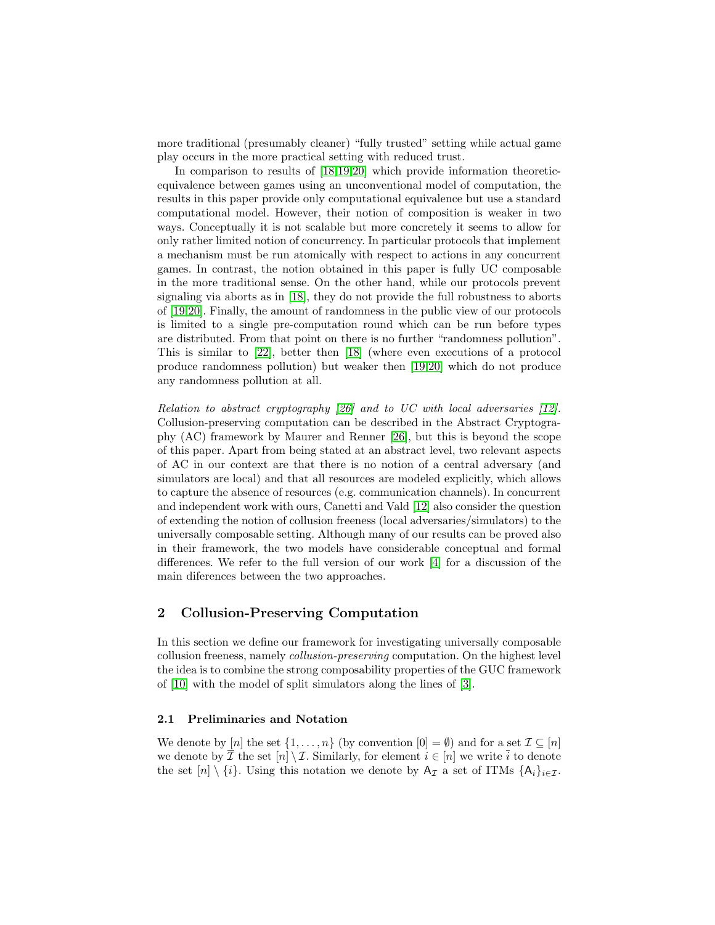more traditional (presumably cleaner) "fully trusted" setting while actual game play occurs in the more practical setting with reduced trust.

In comparison to results of [\[18,](#page-19-15)[19](#page-19-9)[,20\]](#page-19-10) which provide information theoreticequivalence between games using an unconventional model of computation, the results in this paper provide only computational equivalence but use a standard computational model. However, their notion of composition is weaker in two ways. Conceptually it is not scalable but more concretely it seems to allow for only rather limited notion of concurrency. In particular protocols that implement a mechanism must be run atomically with respect to actions in any concurrent games. In contrast, the notion obtained in this paper is fully UC composable in the more traditional sense. On the other hand, while our protocols prevent signaling via aborts as in [\[18\]](#page-19-15), they do not provide the full robustness to aborts of [\[19](#page-19-9)[,20\]](#page-19-10). Finally, the amount of randomness in the public view of our protocols is limited to a single pre-computation round which can be run before types are distributed. From that point on there is no further "randomness pollution". This is similar to [\[22\]](#page-19-16), better then [\[18\]](#page-19-15) (where even executions of a protocol produce randomness pollution) but weaker then [\[19,](#page-19-9)[20\]](#page-19-10) which do not produce any randomness pollution at all.

Relation to abstract cryptography [\[26\]](#page-19-14) and to UC with local adversaries [\[12\]](#page-18-9). Collusion-preserving computation can be described in the Abstract Cryptography (AC) framework by Maurer and Renner [\[26\]](#page-19-14), but this is beyond the scope of this paper. Apart from being stated at an abstract level, two relevant aspects of AC in our context are that there is no notion of a central adversary (and simulators are local) and that all resources are modeled explicitly, which allows to capture the absence of resources (e.g. communication channels). In concurrent and independent work with ours, Canetti and Vald [\[12\]](#page-18-9) also consider the question of extending the notion of collusion freeness (local adversaries/simulators) to the universally composable setting. Although many of our results can be proved also in their framework, the two models have considerable conceptual and formal differences. We refer to the full version of our work [\[4\]](#page-18-10) for a discussion of the main diferences between the two approaches.

### <span id="page-6-0"></span>2 Collusion-Preserving Computation

In this section we define our framework for investigating universally composable collusion freeness, namely collusion-preserving computation. On the highest level the idea is to combine the strong composability properties of the GUC framework of [\[10\]](#page-18-6) with the model of split simulators along the lines of [\[3\]](#page-18-4).

#### 2.1 Preliminaries and Notation

We denote by [n] the set  $\{1, \ldots, n\}$  (by convention  $[0] = \emptyset$ ) and for a set  $\mathcal{I} \subseteq [n]$ we denote by  $\overline{\mathcal{I}}$  the set  $[n] \setminus \mathcal{I}$ . Similarly, for element  $i \in [n]$  we write  $\overline{i}$  to denote the set  $[n] \setminus \{i\}$ . Using this notation we denote by  $A_{\mathcal{I}}$  a set of ITMs  $\{A_i\}_{i\in\mathcal{I}}$ .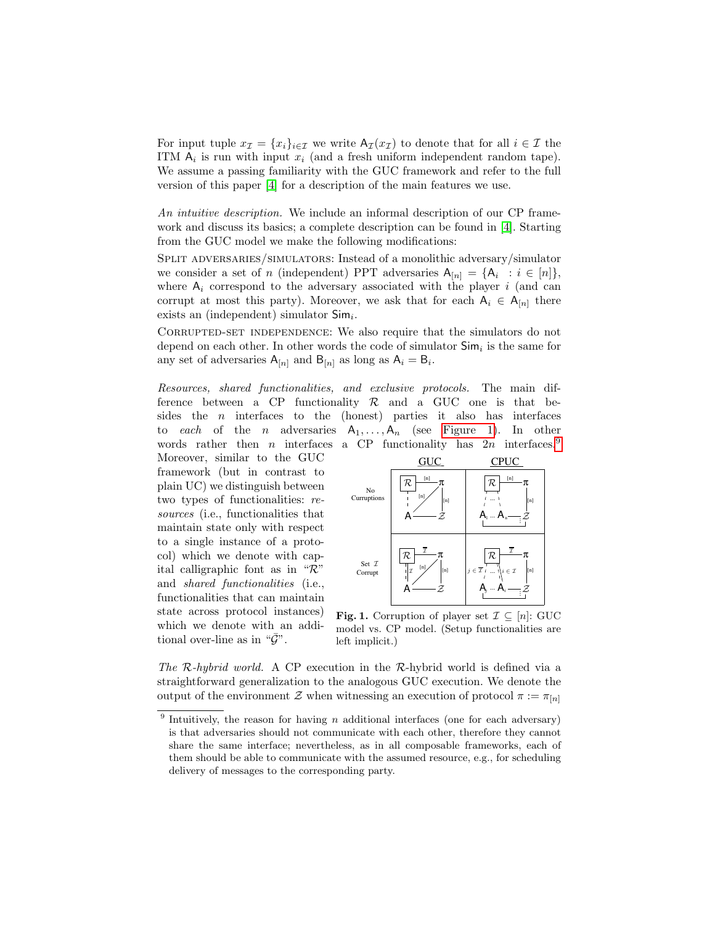For input tuple  $x_{\mathcal{I}} = \{x_i\}_{i \in \mathcal{I}}$  we write  $A_{\mathcal{I}}(x_{\mathcal{I}})$  to denote that for all  $i \in \mathcal{I}$  the ITM  $A_i$  is run with input  $x_i$  (and a fresh uniform independent random tape). We assume a passing familiarity with the GUC framework and refer to the full version of this paper [\[4\]](#page-18-10) for a description of the main features we use.

An intuitive description. We include an informal description of our CP framework and discuss its basics; a complete description can be found in [\[4\]](#page-18-10). Starting from the GUC model we make the following modifications:

SPLIT ADVERSARIES/SIMULATORS: Instead of a monolithic adversary/simulator we consider a set of n (independent) PPT adversaries  $A_{[n]} = \{A_i : i \in [n]\},\$ where  $A_i$  correspond to the adversary associated with the player i (and can corrupt at most this party). Moreover, we ask that for each  $A_i \in A_{[n]}$  there exists an (independent) simulator  $Sim<sub>i</sub>$ .

Corrupted-set independence: We also require that the simulators do not depend on each other. In other words the code of simulator  $\mathsf{Sim}_i$  is the same for any set of adversaries  $A_{[n]}$  and  $B_{[n]}$  as long as  $A_i = B_i$ .

Resources, shared functionalities, and exclusive protocols. The main difference between a CP functionality  $R$  and a GUC one is that besides the  $n$  interfaces to the (honest) parties it also has interfaces to each of the n adversaries  $A_1, \ldots, A_n$  (see [Figure 1\)](#page-7-0). In other words rather then *n* interfaces a CP functionality has  $2n$  interfaces.<sup>[9](#page-7-1)</sup>

Moreover, similar to the GUC framework (but in contrast to plain UC) we distinguish between two types of functionalities: resources (i.e., functionalities that maintain state only with respect to a single instance of a protocol) which we denote with capital calligraphic font as in " $\mathcal{R}$ " and shared functionalities (i.e., functionalities that can maintain state across protocol instances) which we denote with an additional over-line as in " $\bar{G}$ ".



<span id="page-7-0"></span>Fig. 1. Corruption of player set  $\mathcal{I} \subseteq [n]$ : GUC model vs. CP model. (Setup functionalities are left implicit.)

The R-hybrid world. A CP execution in the R-hybrid world is defined via a straightforward generalization to the analogous GUC execution. We denote the output of the environment Z when witnessing an execution of protocol  $\pi := \pi_{[n]}$ 

<span id="page-7-1"></span><sup>&</sup>lt;sup>9</sup> Intuitively, the reason for having *n* additional interfaces (one for each adversary) is that adversaries should not communicate with each other, therefore they cannot share the same interface; nevertheless, as in all composable frameworks, each of them should be able to communicate with the assumed resource, e.g., for scheduling delivery of messages to the corresponding party.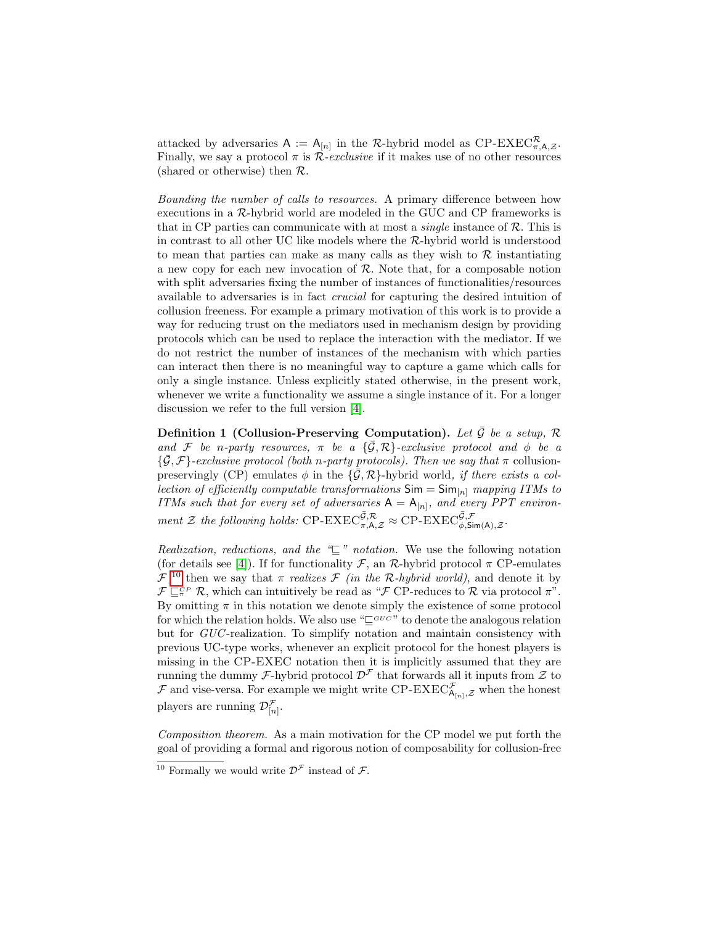attacked by adversaries  $A := A_{[n]}$  in the R-hybrid model as CP-EXEC<sup>R</sup><sub> $\pi$ ,A,Z</sub>. Finally, we say a protocol  $\pi$  is  $\mathcal{R}\text{-}exclusive$  if it makes use of no other resources (shared or otherwise) then R.

Bounding the number of calls to resources. A primary difference between how executions in a  $R$ -hybrid world are modeled in the GUC and CP frameworks is that in CP parties can communicate with at most a *single* instance of  $\mathcal{R}$ . This is in contrast to all other UC like models where the R-hybrid world is understood to mean that parties can make as many calls as they wish to  $\mathcal R$  instantiating a new copy for each new invocation of  $R$ . Note that, for a composable notion with split adversaries fixing the number of instances of functionalities/resources available to adversaries is in fact crucial for capturing the desired intuition of collusion freeness. For example a primary motivation of this work is to provide a way for reducing trust on the mediators used in mechanism design by providing protocols which can be used to replace the interaction with the mediator. If we do not restrict the number of instances of the mechanism with which parties can interact then there is no meaningful way to capture a game which calls for only a single instance. Unless explicitly stated otherwise, in the present work, whenever we write a functionality we assume a single instance of it. For a longer discussion we refer to the full version [\[4\]](#page-18-10).

<span id="page-8-1"></span>Definition 1 (Collusion-Preserving Computation). Let  $\bar{\mathcal{G}}$  be a setup,  $\mathcal{R}$ and F be n-party resources,  $\pi$  be a  $\{\mathcal{G}, \mathcal{R}\}\$ -exclusive protocol and  $\phi$  be a  ${\{\bar{\mathcal{G}},\mathcal{F}\}}$ -exclusive protocol (both n-party protocols). Then we say that  $\pi$  collusionpreservingly (CP) emulates  $\phi$  in the  $\{\bar{\mathcal{G}}, \mathcal{R}\}\$ -hybrid world, if there exists a collection of efficiently computable transformations  $\mathsf{Sim} = \mathsf{Sim}_{[n]}$  mapping ITMs to ITMs such that for every set of adversaries  $A = A_{[n]}$ , and every PPT environment Z the following holds:  $\text{CP-EXEC}_{\pi,\mathsf{A},\mathcal{Z}}^{\bar{\mathcal{G}},\mathcal{R}} \approx \text{CP-EXEC}_{\phi,\mathsf{Sim}(\mathsf{A}),\mathcal{Z}}^{\bar{\mathcal{G}},\mathcal{F}}$ 

Realization, reductions, and the " $\subseteq$ " notation. We use the following notation (for details see [\[4\]](#page-18-10)). If for functionality  $\mathcal{F}$ , an  $\mathcal{R}$ -hybrid protocol  $\pi$  CP-emulates  $\mathcal{F}$ <sup>[10](#page-8-0)</sup> then we say that  $\pi$  realizes  $\mathcal{F}$  (in the R-hybrid world), and denote it by  $\mathcal{F} \sqsubseteq^{\scriptscriptstyle{CP}} \mathcal{R}$ , which can intuitively be read as " $\mathcal{F}$  CP-reduces to  $\mathcal{R}$  via protocol  $\pi$ ". By omitting  $\pi$  in this notation we denote simply the existence of some protocol for which the relation holds. We also use " $\Box^{GUC}$ " to denote the analogous relation but for GUC -realization. To simplify notation and maintain consistency with previous UC-type works, whenever an explicit protocol for the honest players is missing in the CP-EXEC notation then it is implicitly assumed that they are running the dummy  $\mathcal{F}\text{-hybrid protocol }\mathcal{D}^\mathcal{F}$  that forwards all it inputs from  $\mathcal Z$  to  $\mathcal F$  and vise-versa. For example we might write CP-EXEC  $_{A_{[n],\mathcal Z}}^{\mathcal F}$  when the honest players are running  $\mathcal{D}_{[n]}^{\mathcal{F}}$ .

Composition theorem. As a main motivation for the CP model we put forth the goal of providing a formal and rigorous notion of composability for collusion-free

<span id="page-8-0"></span><sup>&</sup>lt;sup>10</sup> Formally we would write  $\mathcal{D}^{\mathcal{F}}$  instead of  $\mathcal{F}$ .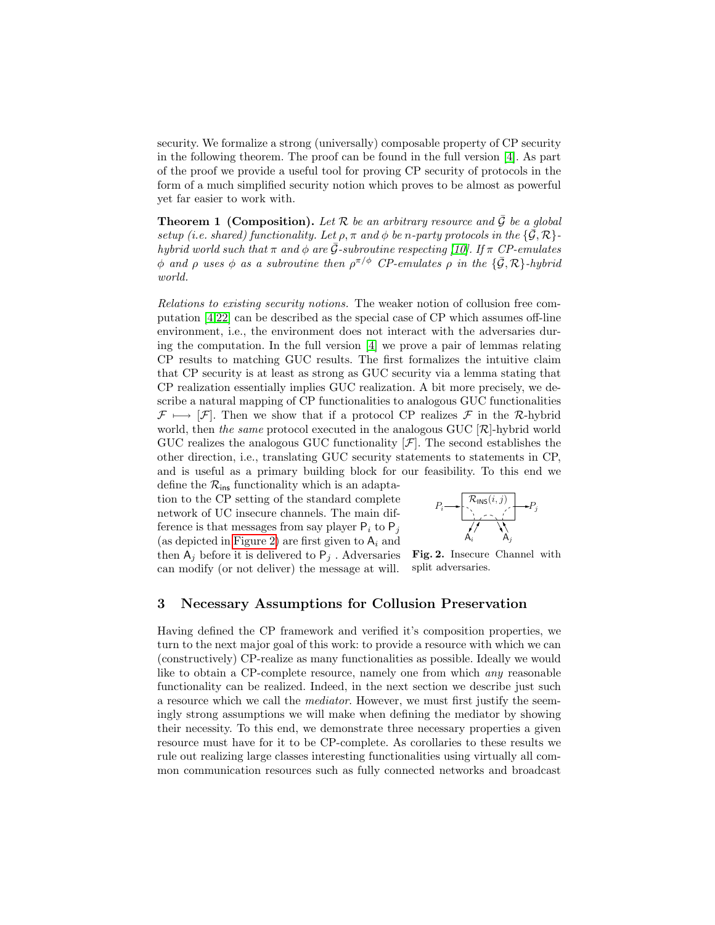security. We formalize a strong (universally) composable property of CP security in the following theorem. The proof can be found in the full version [\[4\]](#page-18-10). As part of the proof we provide a useful tool for proving CP security of protocols in the form of a much simplified security notion which proves to be almost as powerful yet far easier to work with.

**Theorem 1 (Composition).** Let R be an arbitrary resource and G be a global setup (i.e. shared) functionality. Let  $\rho$ ,  $\pi$  and  $\phi$  be n-party protocols in the  $\{\bar{\mathcal{G}}, \mathcal{R}\}$ hybrid world such that  $\pi$  and  $\phi$  are  $\bar{G}$ -subroutine respecting [\[10\]](#page-18-6). If  $\pi$  CP-emulates  $\phi$  and  $\rho$  uses  $\phi$  as a subroutine then  $\rho^{\pi/\phi}$  CP-emulates  $\rho$  in the  $\{\bar{\mathcal{G}},\mathcal{R}\}$ -hybrid world.

Relations to existing security notions. The weaker notion of collusion free computation [\[4,](#page-18-10)[22\]](#page-19-16) can be described as the special case of CP which assumes off-line environment, i.e., the environment does not interact with the adversaries during the computation. In the full version [\[4\]](#page-18-10) we prove a pair of lemmas relating CP results to matching GUC results. The first formalizes the intuitive claim that CP security is at least as strong as GUC security via a lemma stating that CP realization essentially implies GUC realization. A bit more precisely, we describe a natural mapping of CP functionalities to analogous GUC functionalities  $\mathcal{F} \longmapsto [\mathcal{F}]$ . Then we show that if a protocol CP realizes  $\mathcal{F}$  in the R-hybrid world, then the same protocol executed in the analogous GUC  $[\mathcal{R}]$ -hybrid world GUC realizes the analogous GUC functionality  $[\mathcal{F}]$ . The second establishes the other direction, i.e., translating GUC security statements to statements in CP, and is useful as a primary building block for our feasibility. To this end we

define the  $\mathcal{R}_{\text{ins}}$  functionality which is an adaptation to the CP setting of the standard complete network of UC insecure channels. The main difference is that messages from say player  $P_i$  to  $P_j$ (as depicted in [Figure 2\)](#page-9-0) are first given to  $A_i$  and then  $A_j$  before it is delivered to  $P_j$ . Adversaries can modify (or not deliver) the message at will.



<span id="page-9-0"></span>Fig. 2. Insecure Channel with split adversaries.

#### 3 Necessary Assumptions for Collusion Preservation

Having defined the CP framework and verified it's composition properties, we turn to the next major goal of this work: to provide a resource with which we can (constructively) CP-realize as many functionalities as possible. Ideally we would like to obtain a CP-complete resource, namely one from which any reasonable functionality can be realized. Indeed, in the next section we describe just such a resource which we call the mediator. However, we must first justify the seemingly strong assumptions we will make when defining the mediator by showing their necessity. To this end, we demonstrate three necessary properties a given resource must have for it to be CP-complete. As corollaries to these results we rule out realizing large classes interesting functionalities using virtually all common communication resources such as fully connected networks and broadcast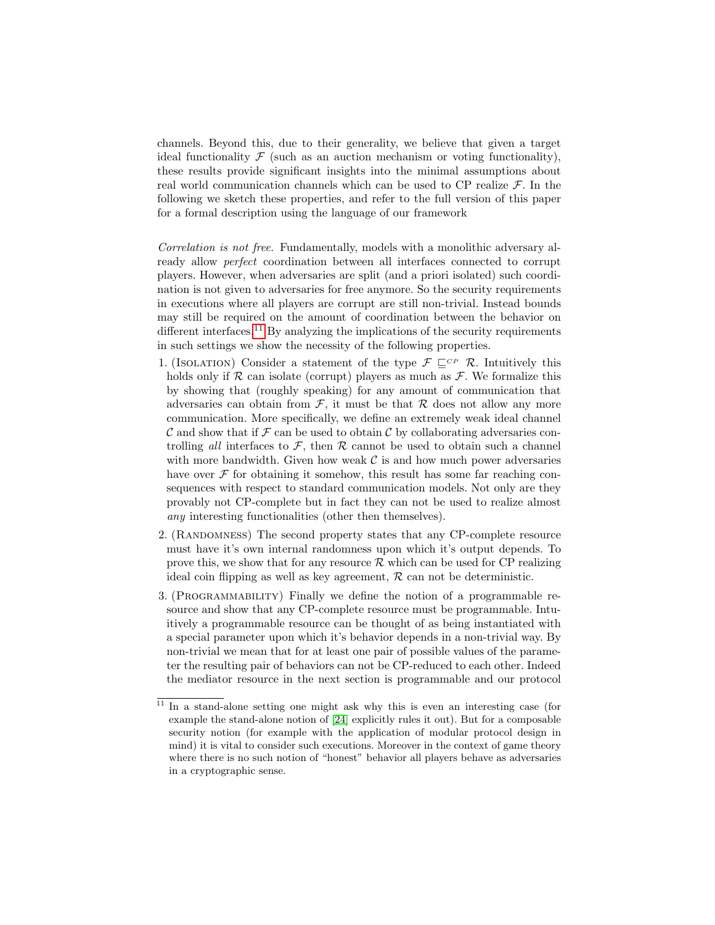channels. Beyond this, due to their generality, we believe that given a target ideal functionality  $\mathcal F$  (such as an auction mechanism or voting functionality), these results provide significant insights into the minimal assumptions about real world communication channels which can be used to CP realize  $\mathcal{F}$ . In the following we sketch these properties, and refer to the full version of this paper for a formal description using the language of our framework

Correlation is not free. Fundamentally, models with a monolithic adversary already allow perfect coordination between all interfaces connected to corrupt players. However, when adversaries are split (and a priori isolated) such coordination is not given to adversaries for free anymore. So the security requirements in executions where all players are corrupt are still non-trivial. Instead bounds may still be required on the amount of coordination between the behavior on different interfaces.<sup>[11](#page-10-0)</sup> By analyzing the implications of the security requirements in such settings we show the necessity of the following properties.

- 1. (ISOLATION) Consider a statement of the type  $\mathcal{F} \subset^{CP} \mathcal{R}$ . Intuitively this holds only if  $\mathcal R$  can isolate (corrupt) players as much as  $\mathcal F$ . We formalize this by showing that (roughly speaking) for any amount of communication that adversaries can obtain from  $\mathcal{F}$ , it must be that  $\mathcal{R}$  does not allow any more communication. More specifically, we define an extremely weak ideal channel C and show that if  $\mathcal F$  can be used to obtain C by collaborating adversaries controlling all interfaces to  $\mathcal F$ , then  $\mathcal R$  cannot be used to obtain such a channel with more bandwidth. Given how weak  $\mathcal C$  is and how much power adversaries have over  $\mathcal F$  for obtaining it somehow, this result has some far reaching consequences with respect to standard communication models. Not only are they provably not CP-complete but in fact they can not be used to realize almost any interesting functionalities (other then themselves).
- 2. (Randomness) The second property states that any CP-complete resource must have it's own internal randomness upon which it's output depends. To prove this, we show that for any resource  $\mathcal R$  which can be used for CP realizing ideal coin flipping as well as key agreement,  $R$  can not be deterministic.
- 3. (Programmability) Finally we define the notion of a programmable resource and show that any CP-complete resource must be programmable. Intuitively a programmable resource can be thought of as being instantiated with a special parameter upon which it's behavior depends in a non-trivial way. By non-trivial we mean that for at least one pair of possible values of the parameter the resulting pair of behaviors can not be CP-reduced to each other. Indeed the mediator resource in the next section is programmable and our protocol

<span id="page-10-0"></span> $\overline{11}$  In a stand-alone setting one might ask why this is even an interesting case (for example the stand-alone notion of [\[24\]](#page-19-6) explicitly rules it out). But for a composable security notion (for example with the application of modular protocol design in mind) it is vital to consider such executions. Moreover in the context of game theory where there is no such notion of "honest" behavior all players behave as adversaries in a cryptographic sense.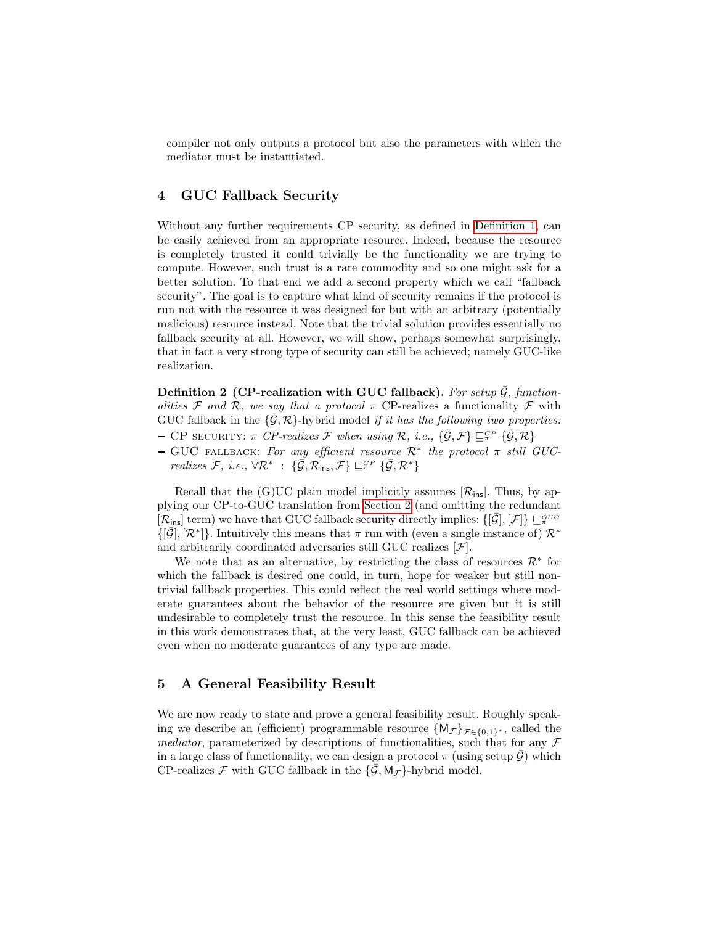compiler not only outputs a protocol but also the parameters with which the mediator must be instantiated.

### 4 GUC Fallback Security

Without any further requirements CP security, as defined in [Definition 1,](#page-8-1) can be easily achieved from an appropriate resource. Indeed, because the resource is completely trusted it could trivially be the functionality we are trying to compute. However, such trust is a rare commodity and so one might ask for a better solution. To that end we add a second property which we call "fallback security". The goal is to capture what kind of security remains if the protocol is run not with the resource it was designed for but with an arbitrary (potentially malicious) resource instead. Note that the trivial solution provides essentially no fallback security at all. However, we will show, perhaps somewhat surprisingly, that in fact a very strong type of security can still be achieved; namely GUC-like realization.

<span id="page-11-0"></span>Definition 2 (CP-realization with GUC fallback). For setup  $\overline{G}$ , functionalities F and R, we say that a protocol  $\pi$  CP-realizes a functionality F with GUC fallback in the  $\{\bar{\mathcal{G}}, \mathcal{R}\}$ -hybrid model if it has the following two properties: CP SECURITY:  $\pi$  CP-realizes  $\mathcal F$  when using  $\mathcal R$ , i.e.,  $\{\bar{\mathcal G}, \mathcal F\} \sqsubseteq_{\pi}^{CP} \{\bar{\mathcal G}, \mathcal R\}$ 

GUC FALLBACK: For any efficient resource  $\mathcal{R}^*$  the protocol  $\pi$  still GUC $realizes \mathcal{F}, i.e., \forall \mathcal{R}^* \; : \; \{\vec{\mathcal{G}}, \mathcal{R}_{ins}, \mathcal{F}\} \sqsubseteq^{\scriptscriptstyle{CP}}_{\pi} \{\vec{\mathcal{G}}, \mathcal{R}^*\}$ 

Recall that the (G)UC plain model implicitly assumes  $[\mathcal{R}_{ins}]$ . Thus, by applying our CP-to-GUC translation from [Section 2](#page-6-0) (and omitting the redundant  $[\mathcal{R}_{ins}]$  term) we have that GUC fallback security directly implies:  $\{[\bar{\mathcal{G}}], [\mathcal{F}]\}\sqsubseteq_{\pi}^{\mathcal{GUC}}$  $\{[\bar{\mathcal{G}}], [\mathcal{R}^*]\}\$ . Intuitively this means that  $\pi$  run with (even a single instance of)  $\mathcal{R}^*$ and arbitrarily coordinated adversaries still GUC realizes  $[\mathcal{F}].$ 

We note that as an alternative, by restricting the class of resources  $\mathcal{R}^*$  for which the fallback is desired one could, in turn, hope for weaker but still nontrivial fallback properties. This could reflect the real world settings where moderate guarantees about the behavior of the resource are given but it is still undesirable to completely trust the resource. In this sense the feasibility result in this work demonstrates that, at the very least, GUC fallback can be achieved even when no moderate guarantees of any type are made.

#### 5 A General Feasibility Result

We are now ready to state and prove a general feasibility result. Roughly speaking we describe an (efficient) programmable resource  ${M_{\mathcal{F}}}_{\mathcal{F}\in\{0,1\}^*}$ , called the *mediator*, parameterized by descriptions of functionalities, such that for any  $\mathcal F$ in a large class of functionality, we can design a protocol  $\pi$  (using setup  $\overline{G}$ ) which CP-realizes  $\mathcal F$  with GUC fallback in the  $\{\mathcal G, \mathsf M_{\mathcal F}\}\$ -hybrid model.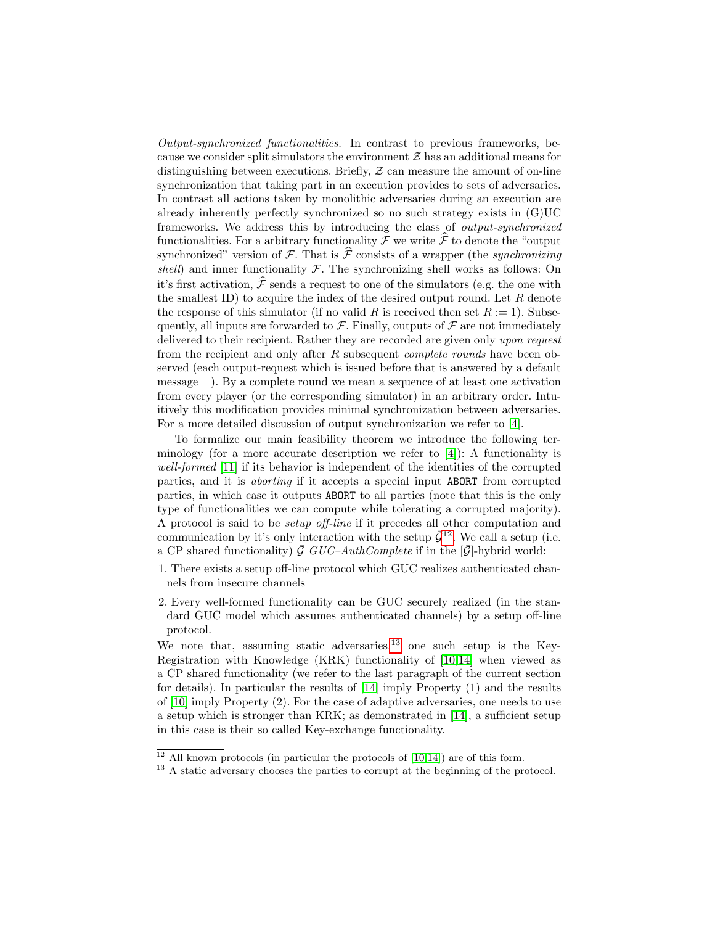Output-synchronized functionalities. In contrast to previous frameworks, because we consider split simulators the environment  $\mathcal Z$  has an additional means for distinguishing between executions. Briefly,  $Z$  can measure the amount of on-line synchronization that taking part in an execution provides to sets of adversaries. In contrast all actions taken by monolithic adversaries during an execution are already inherently perfectly synchronized so no such strategy exists in (G)UC frameworks. We address this by introducing the class of output-synchronized functionalities. For a arbitrary functionality  $\tilde{\mathcal{F}}$  we write  $\hat{\mathcal{F}}$  to denote the "output synchronized" version of F. That is  $\hat{F}$  consists of a wrapper (the synchronizing shell) and inner functionality  $\mathcal F$ . The synchronizing shell works as follows: On it's first activation,  $\hat{\mathcal{F}}$  sends a request to one of the simulators (e.g. the one with the smallest ID) to acquire the index of the desired output round. Let  $R$  denote the response of this simulator (if no valid R is received then set  $R := 1$ ). Subsequently, all inputs are forwarded to  $\mathcal F$ . Finally, outputs of  $\mathcal F$  are not immediately delivered to their recipient. Rather they are recorded are given only upon request from the recipient and only after R subsequent complete rounds have been observed (each output-request which is issued before that is answered by a default message  $\perp$ ). By a complete round we mean a sequence of at least one activation from every player (or the corresponding simulator) in an arbitrary order. Intuitively this modification provides minimal synchronization between adversaries. For a more detailed discussion of output synchronization we refer to [\[4\]](#page-18-10).

To formalize our main feasibility theorem we introduce the following terminology (for a more accurate description we refer to [\[4\]](#page-18-10)): A functionality is well-formed [\[11\]](#page-18-11) if its behavior is independent of the identities of the corrupted parties, and it is aborting if it accepts a special input ABORT from corrupted parties, in which case it outputs ABORT to all parties (note that this is the only type of functionalities we can compute while tolerating a corrupted majority). A protocol is said to be setup off-line if it precedes all other computation and communication by it's only interaction with the setup  $\bar{\mathcal{G}}^{12}$  $\bar{\mathcal{G}}^{12}$  $\bar{\mathcal{G}}^{12}$ . We call a setup (i.e. a CP shared functionality)  $\bar{G}$  GUC–AuthComplete if in the  $[\bar{G}]$ -hybrid world:

- 1. There exists a setup off-line protocol which GUC realizes authenticated channels from insecure channels
- 2. Every well-formed functionality can be GUC securely realized (in the standard GUC model which assumes authenticated channels) by a setup off-line protocol.

We note that, assuming static adversaries,  $13$  one such setup is the Key-Registration with Knowledge (KRK) functionality of [\[10,](#page-18-6)[14\]](#page-19-17) when viewed as a CP shared functionality (we refer to the last paragraph of the current section for details). In particular the results of [\[14\]](#page-19-17) imply Property (1) and the results of [\[10\]](#page-18-6) imply Property (2). For the case of adaptive adversaries, one needs to use a setup which is stronger than KRK; as demonstrated in [\[14\]](#page-19-17), a sufficient setup in this case is their so called Key-exchange functionality.

<span id="page-12-0"></span> $12$  All known protocols (in particular the protocols of [\[10,](#page-18-6)[14\]](#page-19-17)) are of this form.

<span id="page-12-1"></span><sup>&</sup>lt;sup>13</sup> A static adversary chooses the parties to corrupt at the beginning of the protocol.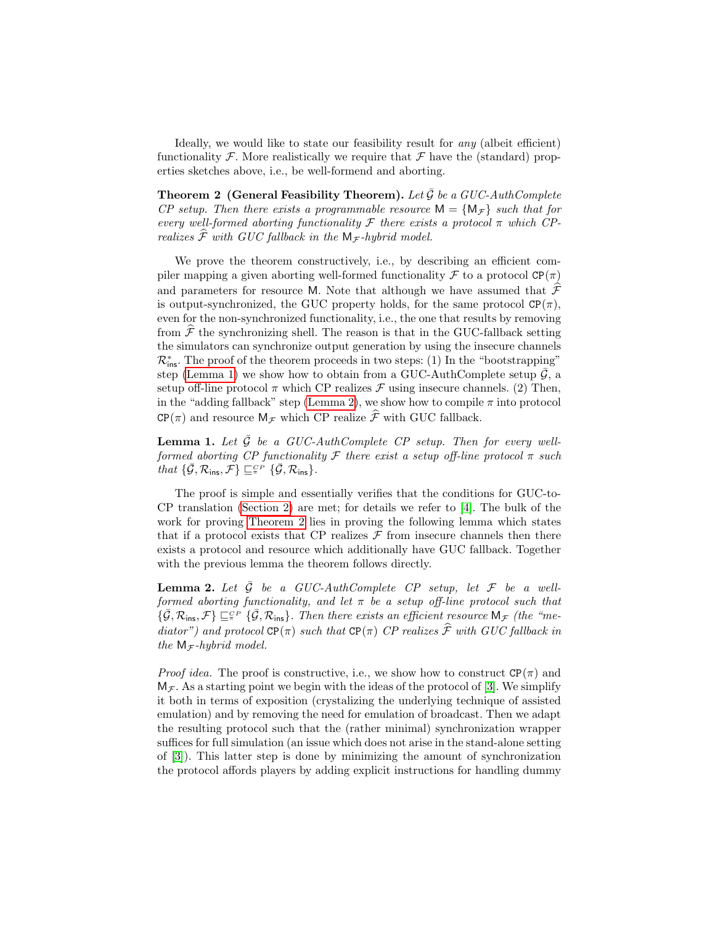Ideally, we would like to state our feasibility result for any (albeit efficient) functionality  $\mathcal F$ . More realistically we require that  $\mathcal F$  have the (standard) properties sketches above, i.e., be well-formend and aborting.

<span id="page-13-2"></span>**Theorem 2 (General Feasibility Theorem).** Let  $\bar{\mathcal{G}}$  be a GUC-AuthComplete CP setup. Then there exists a programmable resource  $M = \{M_{\mathcal{F}}\}$  such that for every well-formed aborting functionality  $\mathcal F$  there exists a protocol  $\pi$  which CPrealizes  $\widehat{\mathcal{F}}$  with GUC fallback in the M<sub>F</sub>-hybrid model.

We prove the theorem constructively, i.e., by describing an efficient compiler mapping a given aborting well-formed functionality  $\mathcal F$  to a protocol  $\mathsf{CP}(\pi)$ and parameters for resource M. Note that although we have assumed that  $\hat{\mathcal{F}}$ is output-synchronized, the GUC property holds, for the same protocol  $\mathsf{CP}(\pi)$ , even for the non-synchronized functionality, i.e., the one that results by removing from  $\mathcal F$  the synchronizing shell. The reason is that in the GUC-fallback setting the simulators can synchronize output generation by using the insecure channels  $\mathcal{R}^*_{\text{ins}}$ . The proof of the theorem proceeds in two steps: (1) In the "bootstrapping" step [\(Lemma 1\)](#page-13-0) we show how to obtain from a GUC-AuthComplete setup  $\overline{G}$ , a setup off-line protocol  $\pi$  which CP realizes  $\mathcal F$  using insecure channels. (2) Then, in the "adding fallback" step [\(Lemma 2\)](#page-13-1), we show how to compile  $\pi$  into protocol  $\mathsf{CP}(\pi)$  and resource  $\mathsf{M}_{\mathcal{F}}$  which CP realize  $\widehat{\mathcal{F}}$  with GUC fallback.

<span id="page-13-0"></span>**Lemma 1.** Let  $\bar{\mathcal{G}}$  be a GUC-AuthComplete CP setup. Then for every wellformed aborting CP functionality  $\mathcal F$  there exist a setup off-line protocol  $\pi$  such that  $\{\bar{\mathcal{G}}, \mathcal{R}_{\text{ins}}, \mathcal{F}\}\sqsubseteq_{\pi}^{\mathcal{CP}}\{\bar{\mathcal{G}}, \mathcal{R}_{\text{ins}}\}.$ 

The proof is simple and essentially verifies that the conditions for GUC-to-CP translation [\(Section 2\)](#page-6-0) are met; for details we refer to [\[4\]](#page-18-10). The bulk of the work for proving [Theorem 2](#page-13-2) lies in proving the following lemma which states that if a protocol exists that CP realizes  $\mathcal F$  from insecure channels then there exists a protocol and resource which additionally have GUC fallback. Together with the previous lemma the theorem follows directly.

<span id="page-13-1"></span>**Lemma 2.** Let  $\bar{G}$  be a GUC-AuthComplete CP setup, let  $\mathcal{F}$  be a wellformed aborting functionality, and let  $\pi$  be a setup off-line protocol such that  ${\{\bar{\mathcal{G}}, \mathcal{R}_{\text{ins}}, \mathcal{F}\}} \sqsubseteq^{\text{CP}}_{\pi} {\{\bar{\mathcal{G}}, \mathcal{R}_{\text{ins}}\}}$ . Then there exists an efficient resource  $\mathsf{M}_{\mathcal{F}}$  (the "mediator") and protocol  $\text{CP}(\pi)$  such that  $\text{CP}(\pi)$  CP realizes  $\hat{\mathcal{F}}$  with GUC fallback in the  $M_{\mathcal{F}}$ -hybrid model.

*Proof idea.* The proof is constructive, i.e., we show how to construct  $CP(\pi)$  and  $M_{\mathcal{F}}$ . As a starting point we begin with the ideas of the protocol of [\[3\]](#page-18-4). We simplify it both in terms of exposition (crystalizing the underlying technique of assisted emulation) and by removing the need for emulation of broadcast. Then we adapt the resulting protocol such that the (rather minimal) synchronization wrapper suffices for full simulation (an issue which does not arise in the stand-alone setting of [\[3\]](#page-18-4)). This latter step is done by minimizing the amount of synchronization the protocol affords players by adding explicit instructions for handling dummy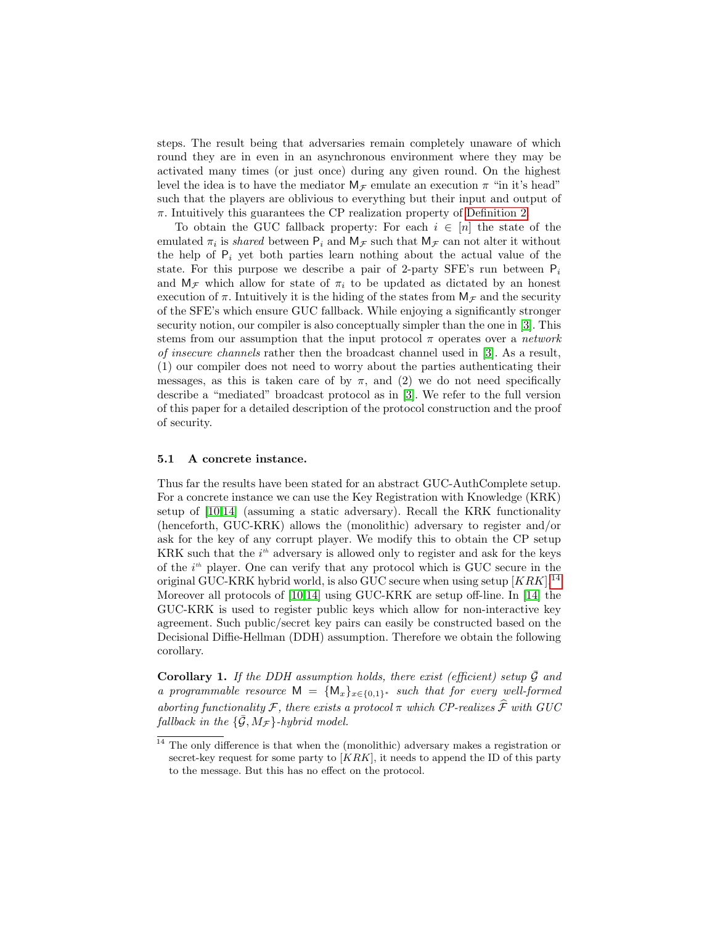steps. The result being that adversaries remain completely unaware of which round they are in even in an asynchronous environment where they may be activated many times (or just once) during any given round. On the highest level the idea is to have the mediator  $M_{\mathcal{F}}$  emulate an execution  $\pi$  "in it's head" such that the players are oblivious to everything but their input and output of  $\pi$ . Intuitively this guarantees the CP realization property of [Definition 2.](#page-11-0)

To obtain the GUC fallback property: For each  $i \in [n]$  the state of the emulated  $\pi_i$  is *shared* between  $P_i$  and  $M_{\mathcal{F}}$  such that  $M_{\mathcal{F}}$  can not alter it without the help of  $P_i$  yet both parties learn nothing about the actual value of the state. For this purpose we describe a pair of 2-party SFE's run between  $P_i$ and  $M_{\mathcal{F}}$  which allow for state of  $\pi_i$  to be updated as dictated by an honest execution of  $\pi$ . Intuitively it is the hiding of the states from  $M_{\mathcal{F}}$  and the security of the SFE's which ensure GUC fallback. While enjoying a significantly stronger security notion, our compiler is also conceptually simpler than the one in [\[3\]](#page-18-4). This stems from our assumption that the input protocol  $\pi$  operates over a *network* of insecure channels rather then the broadcast channel used in [\[3\]](#page-18-4). As a result, (1) our compiler does not need to worry about the parties authenticating their messages, as this is taken care of by  $\pi$ , and (2) we do not need specifically describe a "mediated" broadcast protocol as in [\[3\]](#page-18-4). We refer to the full version of this paper for a detailed description of the protocol construction and the proof of security.

#### 5.1 A concrete instance.

Thus far the results have been stated for an abstract GUC-AuthComplete setup. For a concrete instance we can use the Key Registration with Knowledge (KRK) setup of [\[10,](#page-18-6)[14\]](#page-19-17) (assuming a static adversary). Recall the KRK functionality (henceforth, GUC-KRK) allows the (monolithic) adversary to register and/or ask for the key of any corrupt player. We modify this to obtain the CP setup KRK such that the  $i<sup>th</sup>$  adversary is allowed only to register and ask for the keys of the  $i<sup>th</sup>$  player. One can verify that any protocol which is GUC secure in the original GUC-KRK hybrid world, is also GUC secure when using setup  $[KRK]$ .<sup>[14](#page-14-0)</sup> Moreover all protocols of [\[10,](#page-18-6)[14\]](#page-19-17) using GUC-KRK are setup off-line. In [\[14\]](#page-19-17) the GUC-KRK is used to register public keys which allow for non-interactive key agreement. Such public/secret key pairs can easily be constructed based on the Decisional Diffie-Hellman (DDH) assumption. Therefore we obtain the following corollary.

**Corollary 1.** If the DDH assumption holds, there exist (efficient) setup  $\overline{G}$  and a programmable resource  $M = {M_x}_{x \in {0,1}}$ <sup>\*</sup> such that for every well-formed aborting functionality F, there exists a protocol  $\pi$  which CP-realizes  $\widehat{\mathcal{F}}$  with GUC fallback in the  $\{\mathcal{G}, M_{\mathcal{F}}\}\text{-hybrid model.}$ 

<span id="page-14-0"></span> $14$  The only difference is that when the (monolithic) adversary makes a registration or secret-key request for some party to  $[KRK]$ , it needs to append the ID of this party to the message. But this has no effect on the protocol.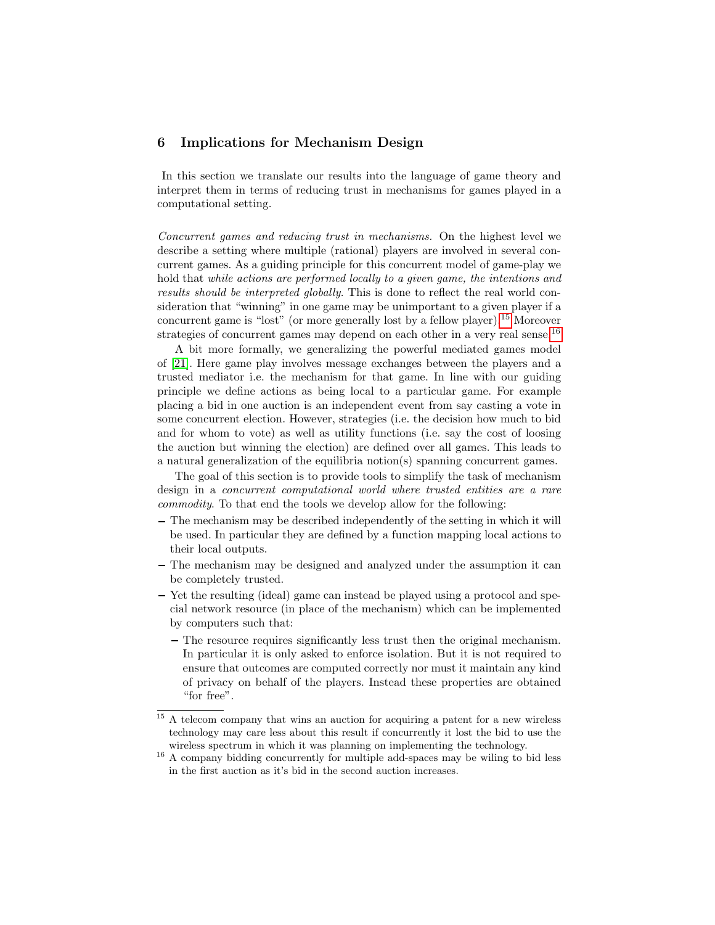### 6 Implications for Mechanism Design

In this section we translate our results into the language of game theory and interpret them in terms of reducing trust in mechanisms for games played in a computational setting.

Concurrent games and reducing trust in mechanisms. On the highest level we describe a setting where multiple (rational) players are involved in several concurrent games. As a guiding principle for this concurrent model of game-play we hold that while actions are performed locally to a given game, the intentions and results should be interpreted globally. This is done to reflect the real world consideration that "winning" in one game may be unimportant to a given player if a concurrent game is "lost" (or more generally lost by a fellow player).[15](#page-15-0) Moreover strategies of concurrent games may depend on each other in a very real sense.<sup>[16](#page-15-1)</sup>

A bit more formally, we generalizing the powerful mediated games model of [\[21\]](#page-19-8). Here game play involves message exchanges between the players and a trusted mediator i.e. the mechanism for that game. In line with our guiding principle we define actions as being local to a particular game. For example placing a bid in one auction is an independent event from say casting a vote in some concurrent election. However, strategies (i.e. the decision how much to bid and for whom to vote) as well as utility functions (i.e. say the cost of loosing the auction but winning the election) are defined over all games. This leads to a natural generalization of the equilibria notion(s) spanning concurrent games.

The goal of this section is to provide tools to simplify the task of mechanism design in a concurrent computational world where trusted entities are a rare commodity. To that end the tools we develop allow for the following:

- The mechanism may be described independently of the setting in which it will be used. In particular they are defined by a function mapping local actions to their local outputs.
- The mechanism may be designed and analyzed under the assumption it can be completely trusted.
- Yet the resulting (ideal) game can instead be played using a protocol and special network resource (in place of the mechanism) which can be implemented by computers such that:
	- The resource requires significantly less trust then the original mechanism. In particular it is only asked to enforce isolation. But it is not required to ensure that outcomes are computed correctly nor must it maintain any kind of privacy on behalf of the players. Instead these properties are obtained "for free".

<span id="page-15-0"></span><sup>&</sup>lt;sup>15</sup> A telecom company that wins an auction for acquiring a patent for a new wireless technology may care less about this result if concurrently it lost the bid to use the wireless spectrum in which it was planning on implementing the technology.

<span id="page-15-1"></span><sup>&</sup>lt;sup>16</sup> A company bidding concurrently for multiple add-spaces may be wiling to bid less in the first auction as it's bid in the second auction increases.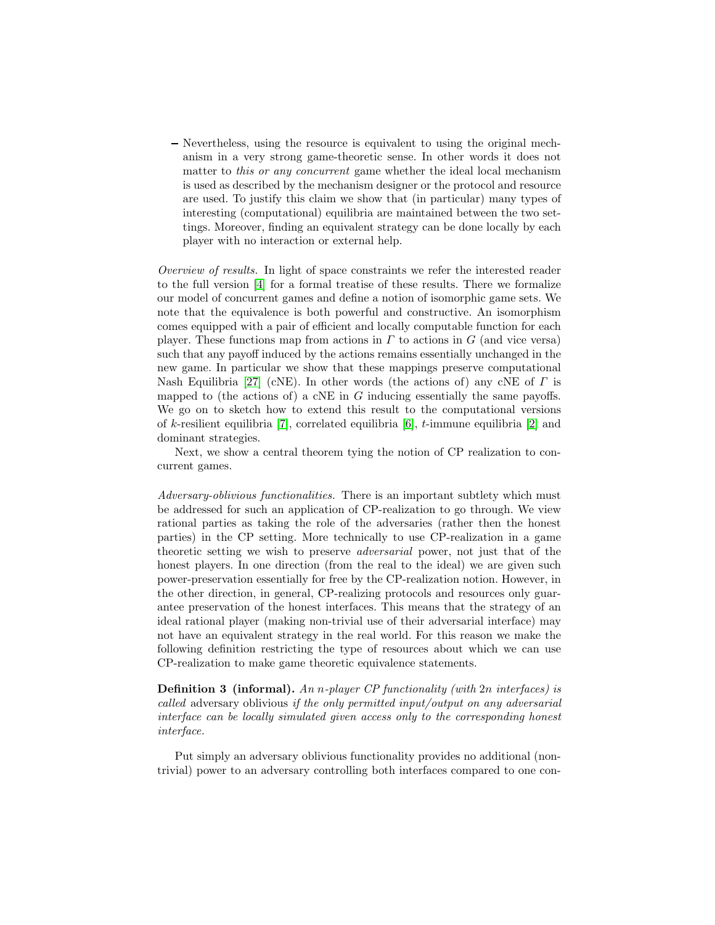Nevertheless, using the resource is equivalent to using the original mechanism in a very strong game-theoretic sense. In other words it does not matter to *this or any concurrent* game whether the ideal local mechanism is used as described by the mechanism designer or the protocol and resource are used. To justify this claim we show that (in particular) many types of interesting (computational) equilibria are maintained between the two settings. Moreover, finding an equivalent strategy can be done locally by each player with no interaction or external help.

Overview of results. In light of space constraints we refer the interested reader to the full version [\[4\]](#page-18-10) for a formal treatise of these results. There we formalize our model of concurrent games and define a notion of isomorphic game sets. We note that the equivalence is both powerful and constructive. An isomorphism comes equipped with a pair of efficient and locally computable function for each player. These functions map from actions in  $\Gamma$  to actions in  $G$  (and vice versa) such that any payoff induced by the actions remains essentially unchanged in the new game. In particular we show that these mappings preserve computational Nash Equilibria [\[27\]](#page-19-13) (cNE). In other words (the actions of) any cNE of  $\Gamma$  is mapped to (the actions of) a cNE in  $G$  inducing essentially the same payoffs. We go on to sketch how to extend this result to the computational versions of k-resilient equilibria [\[7\]](#page-18-7), correlated equilibria [\[6\]](#page-18-8), t-immune equilibria [\[2\]](#page-18-2) and dominant strategies.

Next, we show a central theorem tying the notion of CP realization to concurrent games.

Adversary-oblivious functionalities. There is an important subtlety which must be addressed for such an application of CP-realization to go through. We view rational parties as taking the role of the adversaries (rather then the honest parties) in the CP setting. More technically to use CP-realization in a game theoretic setting we wish to preserve adversarial power, not just that of the honest players. In one direction (from the real to the ideal) we are given such power-preservation essentially for free by the CP-realization notion. However, in the other direction, in general, CP-realizing protocols and resources only guarantee preservation of the honest interfaces. This means that the strategy of an ideal rational player (making non-trivial use of their adversarial interface) may not have an equivalent strategy in the real world. For this reason we make the following definition restricting the type of resources about which we can use CP-realization to make game theoretic equivalence statements.

**Definition 3 (informal).** An n-player CP functionality (with  $2n$  interfaces) is called adversary oblivious if the only permitted input/output on any adversarial interface can be locally simulated given access only to the corresponding honest interface.

Put simply an adversary oblivious functionality provides no additional (nontrivial) power to an adversary controlling both interfaces compared to one con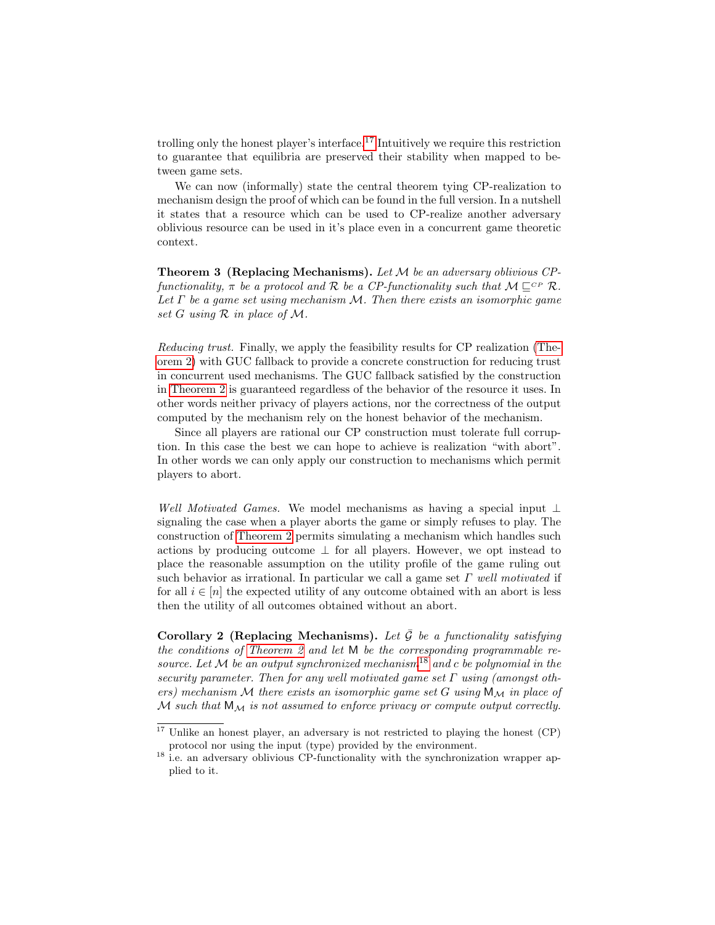trolling only the honest player's interface.[17](#page-17-0) Intuitively we require this restriction to guarantee that equilibria are preserved their stability when mapped to between game sets.

We can now (informally) state the central theorem tying CP-realization to mechanism design the proof of which can be found in the full version. In a nutshell it states that a resource which can be used to CP-realize another adversary oblivious resource can be used in it's place even in a concurrent game theoretic context.

Theorem 3 (Replacing Mechanisms). Let M be an adversary oblivious CPfunctionality,  $\pi$  be a protocol and R be a CP-functionality such that  $\mathcal{M} \subset^{CP} \mathcal{R}$ . Let  $\Gamma$  be a game set using mechanism M. Then there exists an isomorphic game set G using  $\mathcal R$  in place of  $\mathcal M$ .

Reducing trust. Finally, we apply the feasibility results for CP realization [\(The](#page-13-2)[orem 2\)](#page-13-2) with GUC fallback to provide a concrete construction for reducing trust in concurrent used mechanisms. The GUC fallback satisfied by the construction in [Theorem 2](#page-13-2) is guaranteed regardless of the behavior of the resource it uses. In other words neither privacy of players actions, nor the correctness of the output computed by the mechanism rely on the honest behavior of the mechanism.

Since all players are rational our CP construction must tolerate full corruption. In this case the best we can hope to achieve is realization "with abort". In other words we can only apply our construction to mechanisms which permit players to abort.

Well Motivated Games. We model mechanisms as having a special input  $\perp$ signaling the case when a player aborts the game or simply refuses to play. The construction of [Theorem 2](#page-13-2) permits simulating a mechanism which handles such actions by producing outcome  $\perp$  for all players. However, we opt instead to place the reasonable assumption on the utility profile of the game ruling out such behavior as irrational. In particular we call a game set  $\Gamma$  well motivated if for all  $i \in [n]$  the expected utility of any outcome obtained with an abort is less then the utility of all outcomes obtained without an abort.

Corollary 2 (Replacing Mechanisms). Let  $\overline{G}$  be a functionality satisfying the conditions of [Theorem 2](#page-13-2) and let M be the corresponding programmable re-source. Let M be an output synchronized mechanism<sup>[18](#page-17-1)</sup> and c be polynomial in the security parameter. Then for any well motivated game set  $\Gamma$  using (amongst others) mechanism M there exists an isomorphic game set G using  $M_M$  in place of  $M$  such that  $M_M$  is not assumed to enforce privacy or compute output correctly.

<span id="page-17-0"></span> $17$  Unlike an honest player, an adversary is not restricted to playing the honest (CP) protocol nor using the input (type) provided by the environment.

<span id="page-17-1"></span> $18$  i.e. an adversary oblivious CP-functionality with the synchronization wrapper applied to it.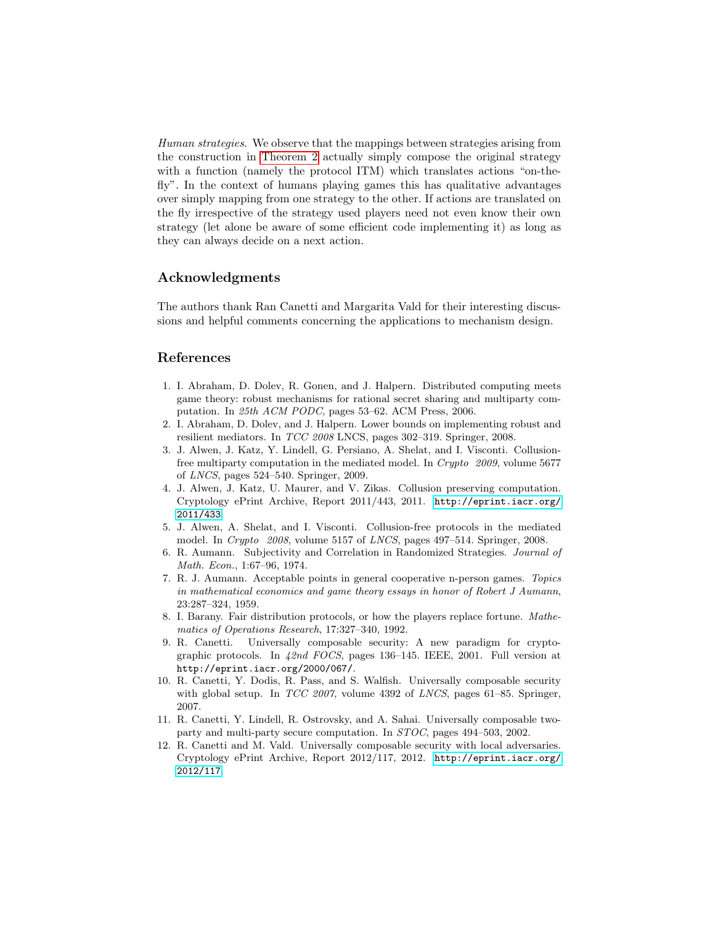Human strategies. We observe that the mappings between strategies arising from the construction in [Theorem 2](#page-13-2) actually simply compose the original strategy with a function (namely the protocol ITM) which translates actions "on-thefly". In the context of humans playing games this has qualitative advantages over simply mapping from one strategy to the other. If actions are translated on the fly irrespective of the strategy used players need not even know their own strategy (let alone be aware of some efficient code implementing it) as long as they can always decide on a next action.

### Acknowledgments

The authors thank Ran Canetti and Margarita Vald for their interesting discussions and helpful comments concerning the applications to mechanism design.

#### References

- <span id="page-18-1"></span>1. I. Abraham, D. Dolev, R. Gonen, and J. Halpern. Distributed computing meets game theory: robust mechanisms for rational secret sharing and multiparty computation. In 25th ACM PODC, pages 53–62. ACM Press, 2006.
- <span id="page-18-2"></span>2. I. Abraham, D. Dolev, and J. Halpern. Lower bounds on implementing robust and resilient mediators. In TCC 2008 LNCS, pages 302–319. Springer, 2008.
- <span id="page-18-4"></span>3. J. Alwen, J. Katz, Y. Lindell, G. Persiano, A. Shelat, and I. Visconti. Collusionfree multiparty computation in the mediated model. In Crypto 2009, volume 5677 of LNCS, pages 524–540. Springer, 2009.
- <span id="page-18-10"></span>4. J. Alwen, J. Katz, U. Maurer, and V. Zikas. Collusion preserving computation. Cryptology ePrint Archive, Report 2011/443, 2011. [http://eprint.iacr.org/](http://eprint.iacr.org/2011/433) [2011/433](http://eprint.iacr.org/2011/433).
- <span id="page-18-3"></span>5. J. Alwen, A. Shelat, and I. Visconti. Collusion-free protocols in the mediated model. In Crypto 2008, volume 5157 of LNCS, pages 497–514. Springer, 2008.
- <span id="page-18-8"></span>6. R. Aumann. Subjectivity and Correlation in Randomized Strategies. Journal of Math. Econ., 1:67–96, 1974.
- <span id="page-18-7"></span>7. R. J. Aumann. Acceptable points in general cooperative n-person games. Topics in mathematical economics and game theory essays in honor of Robert J Aumann, 23:287–324, 1959.
- <span id="page-18-0"></span>8. I. Barany. Fair distribution protocols, or how the players replace fortune. Mathematics of Operations Research, 17:327–340, 1992.
- <span id="page-18-5"></span>9. R. Canetti. Universally composable security: A new paradigm for cryptographic protocols. In 42nd FOCS, pages 136–145. IEEE, 2001. Full version at http://eprint.iacr.org/2000/067/.
- <span id="page-18-6"></span>10. R. Canetti, Y. Dodis, R. Pass, and S. Walfish. Universally composable security with global setup. In TCC 2007, volume 4392 of LNCS, pages 61–85. Springer, 2007.
- <span id="page-18-11"></span>11. R. Canetti, Y. Lindell, R. Ostrovsky, and A. Sahai. Universally composable twoparty and multi-party secure computation. In STOC, pages 494–503, 2002.
- <span id="page-18-9"></span>12. R. Canetti and M. Vald. Universally composable security with local adversaries. Cryptology ePrint Archive, Report 2012/117, 2012. [http://eprint.iacr.org/](http://eprint.iacr.org/2012/117) [2012/117](http://eprint.iacr.org/2012/117).